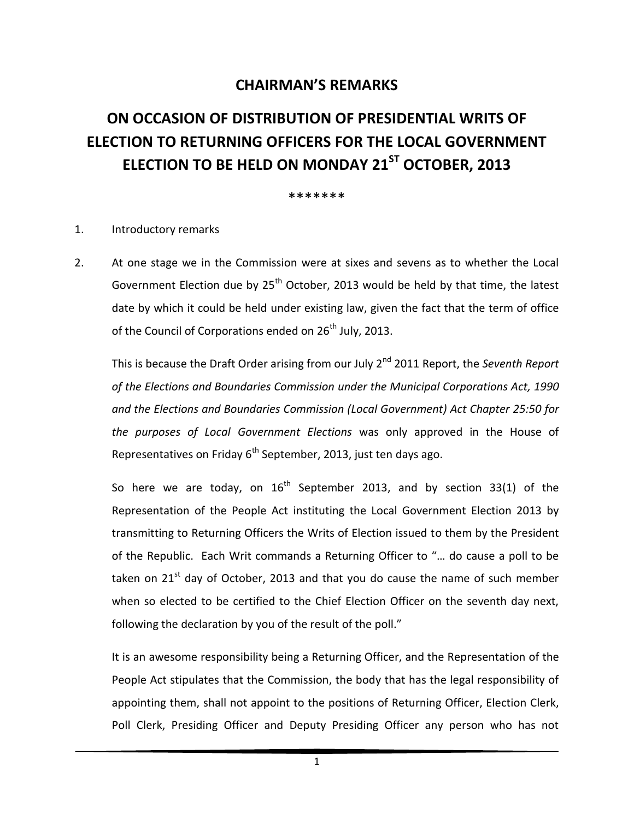## **CHAIRMAN'S REMARKS**

# **ON OCCASION OF DISTRIBUTION OF PRESIDENTIAL WRITS OF ELECTION TO RETURNING OFFICERS FOR THE LOCAL GOVERNMENT ELECTION TO BE HELD ON MONDAY 21ST OCTOBER, 2013**

#### \*\*\*\*\*\*\*

#### 1. Introductory remarks

2. At one stage we in the Commission were at sixes and sevens as to whether the Local Government Election due by  $25<sup>th</sup>$  October, 2013 would be held by that time, the latest date by which it could be held under existing law, given the fact that the term of office of the Council of Corporations ended on  $26<sup>th</sup>$  July, 2013.

This is because the Draft Order arising from our July 2<sup>nd</sup> 2011 Report, the *Seventh Report of the Elections and Boundaries Commission under the Municipal Corporations Act, 1990 and the Elections and Boundaries Commission (Local Government) Act Chapter 25:50 for the purposes of Local Government Elections* was only approved in the House of Representatives on Friday  $6<sup>th</sup>$  September, 2013, just ten days ago.

So here we are today, on  $16<sup>th</sup>$  September 2013, and by section 33(1) of the Representation of the People Act instituting the Local Government Election 2013 by transmitting to Returning Officers the Writs of Election issued to them by the President of the Republic. Each Writ commands a Returning Officer to "… do cause a poll to be taken on  $21<sup>st</sup>$  day of October, 2013 and that you do cause the name of such member when so elected to be certified to the Chief Election Officer on the seventh day next, following the declaration by you of the result of the poll."

It is an awesome responsibility being a Returning Officer, and the Representation of the People Act stipulates that the Commission, the body that has the legal responsibility of appointing them, shall not appoint to the positions of Returning Officer, Election Clerk, Poll Clerk, Presiding Officer and Deputy Presiding Officer any person who has not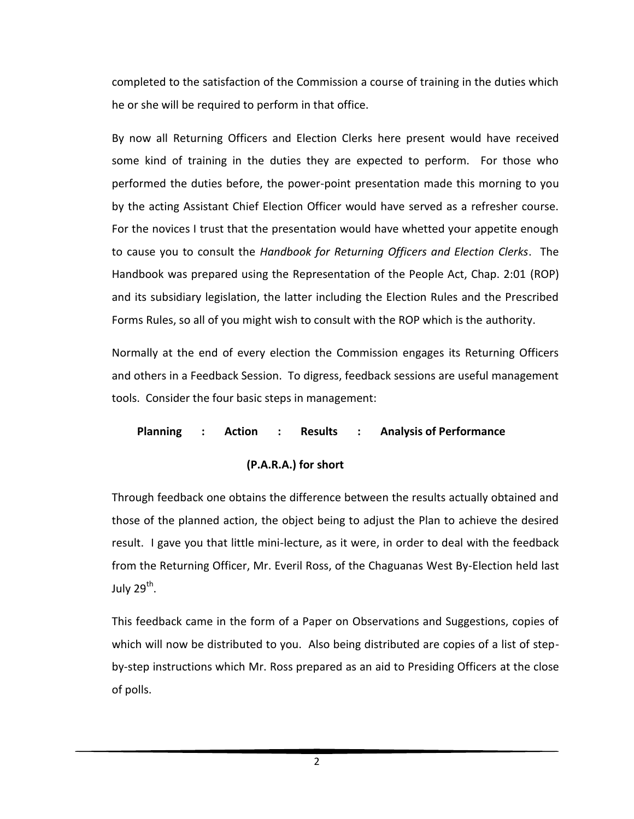completed to the satisfaction of the Commission a course of training in the duties which he or she will be required to perform in that office.

By now all Returning Officers and Election Clerks here present would have received some kind of training in the duties they are expected to perform. For those who performed the duties before, the power-point presentation made this morning to you by the acting Assistant Chief Election Officer would have served as a refresher course. For the novices I trust that the presentation would have whetted your appetite enough to cause you to consult the *Handbook for Returning Officers and Election Clerks*. The Handbook was prepared using the Representation of the People Act, Chap. 2:01 (ROP) and its subsidiary legislation, the latter including the Election Rules and the Prescribed Forms Rules, so all of you might wish to consult with the ROP which is the authority.

Normally at the end of every election the Commission engages its Returning Officers and others in a Feedback Session. To digress, feedback sessions are useful management tools. Consider the four basic steps in management:

#### **Planning : Action : Results : Analysis of Performance**

### **(P.A.R.A.) for short**

Through feedback one obtains the difference between the results actually obtained and those of the planned action, the object being to adjust the Plan to achieve the desired result. I gave you that little mini-lecture, as it were, in order to deal with the feedback from the Returning Officer, Mr. Everil Ross, of the Chaguanas West By-Election held last July 29<sup>th</sup>.

This feedback came in the form of a Paper on Observations and Suggestions, copies of which will now be distributed to you. Also being distributed are copies of a list of stepby-step instructions which Mr. Ross prepared as an aid to Presiding Officers at the close of polls.

2